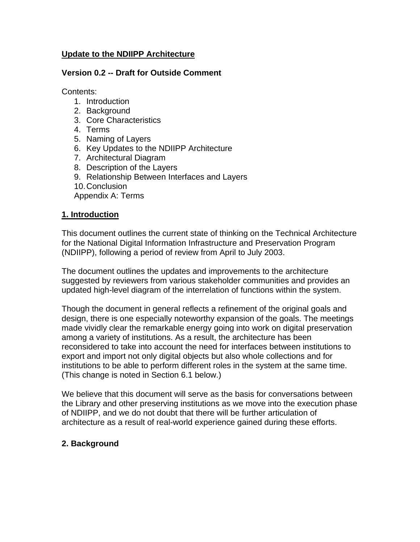## **Update to the NDIIPP Architecture**

#### **Version 0.2 -- Draft for Outside Comment**

Contents:

- 1. Introduction
- 2. Background
- 3. Core Characteristics
- 4. Terms
- 5. Naming of Layers
- 6. Key Updates to the NDIIPP Architecture
- 7. Architectural Diagram
- 8. Description of the Layers
- 9. Relationship Between Interfaces and Layers
- 10. Conclusion

Appendix A: Terms

#### **1. Introduction**

This document outlines the current state of thinking on the Technical Architecture for the National Digital Information Infrastructure and Preservation Program (NDIIPP), following a period of review from April to July 2003.

The document outlines the updates and improvements to the architecture suggested by reviewers from various stakeholder communities and provides an updated high-level diagram of the interrelation of functions within the system.

Though the document in general reflects a refinement of the original goals and design, there is one especially noteworthy expansion of the goals. The meetings made vividly clear the remarkable energy going into work on digital preservation among a variety of institutions. As a result, the architecture has been reconsidered to take into account the need for interfaces between institutions to export and import not only digital objects but also whole collections and for institutions to be able to perform different roles in the system at the same time. (This change is noted in Section 6.1 below.)

We believe that this document will serve as the basis for conversations between the Library and other preserving institutions as we move into the execution phase of NDIIPP, and we do not doubt that there will be further articulation of architecture as a result of real-world experience gained during these efforts.

#### **2. Background**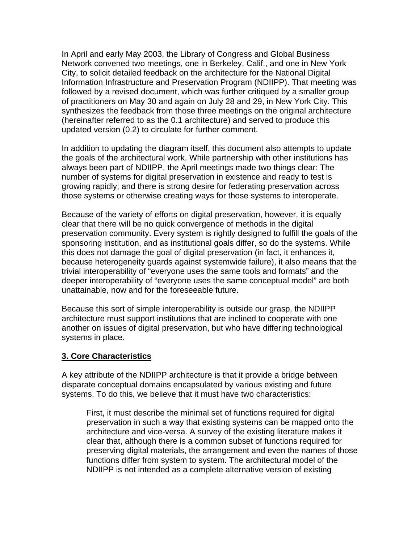In April and early May 2003, the Library of Congress and Global Business Network convened two meetings, one in Berkeley, Calif., and one in New York City, to solicit detailed feedback on the architecture for the National Digital Information Infrastructure and Preservation Program (NDIIPP). That meeting was followed by a revised document, which was further critiqued by a smaller group of practitioners on May 30 and again on July 28 and 29, in New York City. This synthesizes the feedback from those three meetings on the original architecture (hereinafter referred to as the 0.1 architecture) and served to produce this updated version (0.2) to circulate for further comment.

In addition to updating the diagram itself, this document also attempts to update the goals of the architectural work. While partnership with other institutions has always been part of NDIIPP, the April meetings made two things clear: The number of systems for digital preservation in existence and ready to test is growing rapidly; and there is strong desire for federating preservation across those systems or otherwise creating ways for those systems to interoperate.

Because of the variety of efforts on digital preservation, however, it is equally clear that there will be no quick convergence of methods in the digital preservation community. Every system is rightly designed to fulfill the goals of the sponsoring institution, and as institutional goals differ, so do the systems. While this does not damage the goal of digital preservation (in fact, it enhances it, because heterogeneity guards against systemwide failure), it also means that the trivial interoperability of "everyone uses the same tools and formats" and the deeper interoperability of "everyone uses the same conceptual model" are both unattainable, now and for the foreseeable future.

Because this sort of simple interoperability is outside our grasp, the NDIIPP architecture must support institutions that are inclined to cooperate with one another on issues of digital preservation, but who have differing technological systems in place.

#### **3. Core Characteristics**

A key attribute of the NDIIPP architecture is that it provide a bridge between disparate conceptual domains encapsulated by various existing and future systems. To do this, we believe that it must have two characteristics:

First, it must describe the minimal set of functions required for digital preservation in such a way that existing systems can be mapped onto the architecture and vice-versa. A survey of the existing literature makes it clear that, although there is a common subset of functions required for preserving digital materials, the arrangement and even the names of those functions differ from system to system. The architectural model of the NDIIPP is not intended as a complete alternative version of existing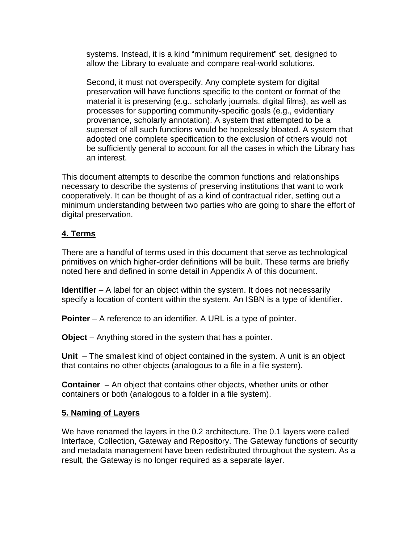systems. Instead, it is a kind "minimum requirement" set, designed to allow the Library to evaluate and compare real-world solutions.

Second, it must not overspecify. Any complete system for digital preservation will have functions specific to the content or format of the material it is preserving (e.g., scholarly journals, digital films), as well as processes for supporting community-specific goals (e.g., evidentiary provenance, scholarly annotation). A system that attempted to be a superset of all such functions would be hopelessly bloated. A system that adopted one complete specification to the exclusion of others would not be sufficiently general to account for all the cases in which the Library has an interest.

This document attempts to describe the common functions and relationships necessary to describe the systems of preserving institutions that want to work cooperatively. It can be thought of as a kind of contractual rider, setting out a minimum understanding between two parties who are going to share the effort of digital preservation.

## **4. Terms**

There are a handful of terms used in this document that serve as technological primitives on which higher-order definitions will be built. These terms are briefly noted here and defined in some detail in Appendix A of this document.

**Identifier** – A label for an object within the system. It does not necessarily specify a location of content within the system. An ISBN is a type of identifier.

**Pointer** – A reference to an identifier. A URL is a type of pointer.

**Object** – Anything stored in the system that has a pointer.

**Unit** – The smallest kind of object contained in the system. A unit is an object that contains no other objects (analogous to a file in a file system).

**Container** – An object that contains other objects, whether units or other containers or both (analogous to a folder in a file system).

## **5. Naming of Layers**

We have renamed the layers in the 0.2 architecture. The 0.1 layers were called Interface, Collection, Gateway and Repository. The Gateway functions of security and metadata management have been redistributed throughout the system. As a result, the Gateway is no longer required as a separate layer.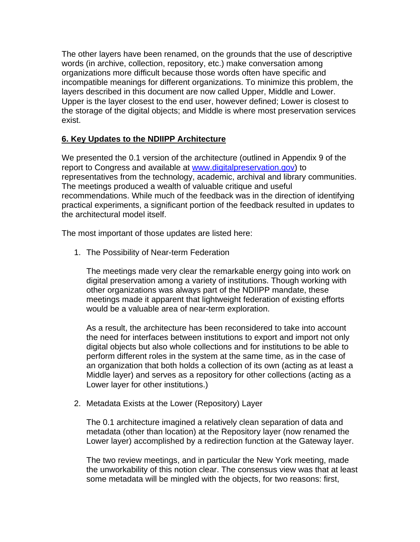The other layers have been renamed, on the grounds that the use of descriptive words (in archive, collection, repository, etc.) make conversation among organizations more difficult because those words often have specific and incompatible meanings for different organizations. To minimize this problem, the layers described in this document are now called Upper, Middle and Lower. Upper is the layer closest to the end user, however defined; Lower is closest to the storage of the digital objects; and Middle is where most preservation services exist.

## **6. Key Updates to the NDIIPP Architecture**

We presented the 0.1 version of the architecture (outlined in Appendix 9 of the report to Congress and available at [www.digitalpreservation.gov\)](http://www.digitalpreservation.gov/) to representatives from the technology, academic, archival and library communities. The meetings produced a wealth of valuable critique and useful recommendations. While much of the feedback was in the direction of identifying practical experiments, a significant portion of the feedback resulted in updates to the architectural model itself.

The most important of those updates are listed here:

1. The Possibility of Near-term Federation

The meetings made very clear the remarkable energy going into work on digital preservation among a variety of institutions. Though working with other organizations was always part of the NDIIPP mandate, these meetings made it apparent that lightweight federation of existing efforts would be a valuable area of near-term exploration.

As a result, the architecture has been reconsidered to take into account the need for interfaces between institutions to export and import not only digital objects but also whole collections and for institutions to be able to perform different roles in the system at the same time, as in the case of an organization that both holds a collection of its own (acting as at least a Middle layer) and serves as a repository for other collections (acting as a Lower layer for other institutions.)

2. Metadata Exists at the Lower (Repository) Layer

The 0.1 architecture imagined a relatively clean separation of data and metadata (other than location) at the Repository layer (now renamed the Lower layer) accomplished by a redirection function at the Gateway layer.

The two review meetings, and in particular the New York meeting, made the unworkability of this notion clear. The consensus view was that at least some metadata will be mingled with the objects, for two reasons: first,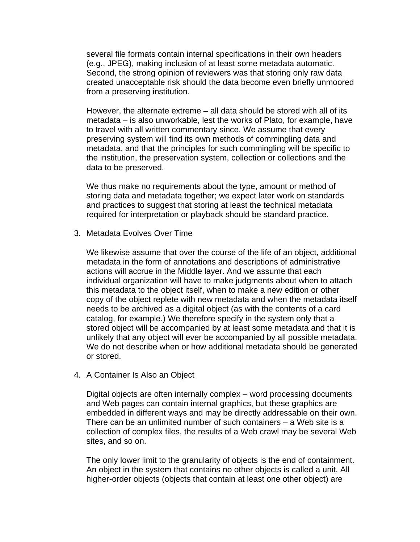several file formats contain internal specifications in their own headers (e.g., JPEG), making inclusion of at least some metadata automatic. Second, the strong opinion of reviewers was that storing only raw data created unacceptable risk should the data become even briefly unmoored from a preserving institution.

However, the alternate extreme – all data should be stored with all of its metadata – is also unworkable, lest the works of Plato, for example, have to travel with all written commentary since. We assume that every preserving system will find its own methods of commingling data and metadata, and that the principles for such commingling will be specific to the institution, the preservation system, collection or collections and the data to be preserved.

We thus make no requirements about the type, amount or method of storing data and metadata together; we expect later work on standards and practices to suggest that storing at least the technical metadata required for interpretation or playback should be standard practice.

3. Metadata Evolves Over Time

We likewise assume that over the course of the life of an object, additional metadata in the form of annotations and descriptions of administrative actions will accrue in the Middle layer. And we assume that each individual organization will have to make judgments about when to attach this metadata to the object itself, when to make a new edition or other copy of the object replete with new metadata and when the metadata itself needs to be archived as a digital object (as with the contents of a card catalog, for example.) We therefore specify in the system only that a stored object will be accompanied by at least some metadata and that it is unlikely that any object will ever be accompanied by all possible metadata. We do not describe when or how additional metadata should be generated or stored.

4. A Container Is Also an Object

Digital objects are often internally complex – word processing documents and Web pages can contain internal graphics, but these graphics are embedded in different ways and may be directly addressable on their own. There can be an unlimited number of such containers – a Web site is a collection of complex files, the results of a Web crawl may be several Web sites, and so on.

The only lower limit to the granularity of objects is the end of containment. An object in the system that contains no other objects is called a unit. All higher-order objects (objects that contain at least one other object) are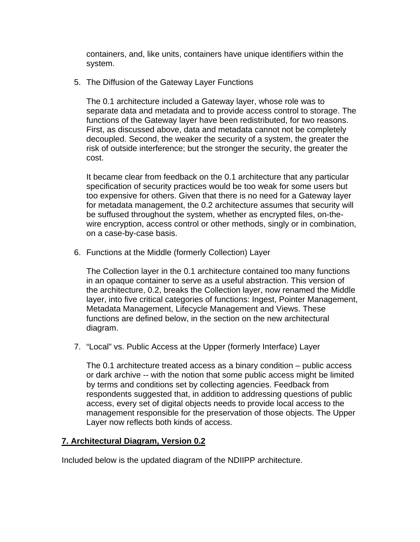containers, and, like units, containers have unique identifiers within the system.

5. The Diffusion of the Gateway Layer Functions

The 0.1 architecture included a Gateway layer, whose role was to separate data and metadata and to provide access control to storage. The functions of the Gateway layer have been redistributed, for two reasons. First, as discussed above, data and metadata cannot not be completely decoupled. Second, the weaker the security of a system, the greater the risk of outside interference; but the stronger the security, the greater the cost.

It became clear from feedback on the 0.1 architecture that any particular specification of security practices would be too weak for some users but too expensive for others. Given that there is no need for a Gateway layer for metadata management, the 0.2 architecture assumes that security will be suffused throughout the system, whether as encrypted files, on-thewire encryption, access control or other methods, singly or in combination, on a case-by-case basis.

6. Functions at the Middle (formerly Collection) Layer

The Collection layer in the 0.1 architecture contained too many functions in an opaque container to serve as a useful abstraction. This version of the architecture, 0.2, breaks the Collection layer, now renamed the Middle layer, into five critical categories of functions: Ingest, Pointer Management, Metadata Management, Lifecycle Management and Views. These functions are defined below, in the section on the new architectural diagram.

7. "Local" vs. Public Access at the Upper (formerly Interface) Layer

The 0.1 architecture treated access as a binary condition – public access or dark archive -- with the notion that some public access might be limited by terms and conditions set by collecting agencies. Feedback from respondents suggested that, in addition to addressing questions of public access, every set of digital objects needs to provide local access to the management responsible for the preservation of those objects. The Upper Layer now reflects both kinds of access.

#### **7. Architectural Diagram, Version 0.2**

Included below is the updated diagram of the NDIIPP architecture.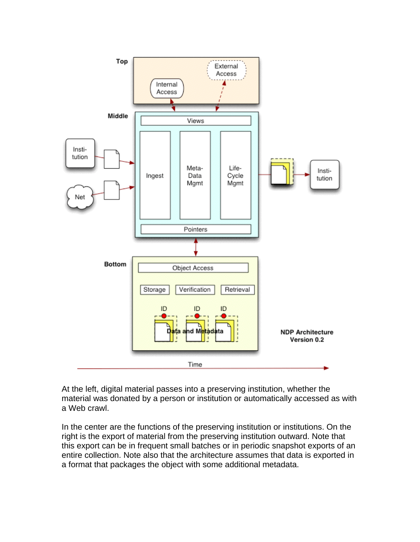

At the left, digital material passes into a preserving institution, whether the material was donated by a person or institution or automatically accessed as with a Web crawl.

In the center are the functions of the preserving institution or institutions. On the right is the export of material from the preserving institution outward. Note that this export can be in frequent small batches or in periodic snapshot exports of an entire collection. Note also that the architecture assumes that data is exported in a format that packages the object with some additional metadata.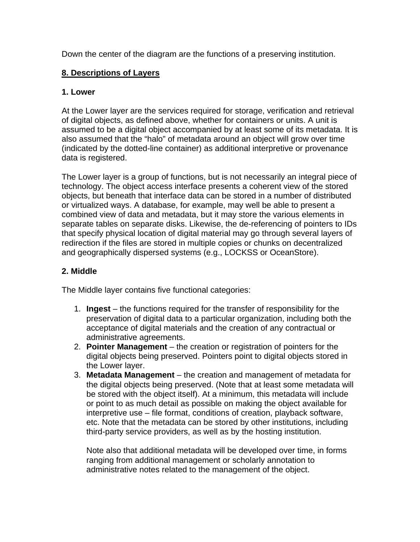Down the center of the diagram are the functions of a preserving institution.

# **8. Descriptions of Layers**

# **1. Lower**

At the Lower layer are the services required for storage, verification and retrieval of digital objects, as defined above, whether for containers or units. A unit is assumed to be a digital object accompanied by at least some of its metadata. It is also assumed that the "halo" of metadata around an object will grow over time (indicated by the dotted-line container) as additional interpretive or provenance data is registered.

The Lower layer is a group of functions, but is not necessarily an integral piece of technology. The object access interface presents a coherent view of the stored objects, but beneath that interface data can be stored in a number of distributed or virtualized ways. A database, for example, may well be able to present a combined view of data and metadata, but it may store the various elements in separate tables on separate disks. Likewise, the de-referencing of pointers to IDs that specify physical location of digital material may go through several layers of redirection if the files are stored in multiple copies or chunks on decentralized and geographically dispersed systems (e.g., LOCKSS or OceanStore).

# **2. Middle**

The Middle layer contains five functional categories:

- 1. **Ingest** the functions required for the transfer of responsibility for the preservation of digital data to a particular organization, including both the acceptance of digital materials and the creation of any contractual or administrative agreements.
- 2. **Pointer Management** the creation or registration of pointers for the digital objects being preserved. Pointers point to digital objects stored in the Lower layer.
- 3. **Metadata Management** the creation and management of metadata for the digital objects being preserved. (Note that at least some metadata will be stored with the object itself). At a minimum, this metadata will include or point to as much detail as possible on making the object available for interpretive use – file format, conditions of creation, playback software, etc. Note that the metadata can be stored by other institutions, including third-party service providers, as well as by the hosting institution.

Note also that additional metadata will be developed over time, in forms ranging from additional management or scholarly annotation to administrative notes related to the management of the object.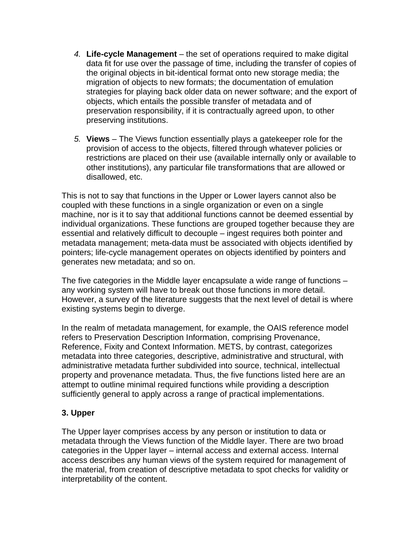- *4.* **Life-cycle Management** the set of operations required to make digital data fit for use over the passage of time, including the transfer of copies of the original objects in bit-identical format onto new storage media; the migration of objects to new formats; the documentation of emulation strategies for playing back older data on newer software; and the export of objects, which entails the possible transfer of metadata and of preservation responsibility, if it is contractually agreed upon, to other preserving institutions.
- *5.* **Views** The Views function essentially plays a gatekeeper role for the provision of access to the objects, filtered through whatever policies or restrictions are placed on their use (available internally only or available to other institutions), any particular file transformations that are allowed or disallowed, etc.

This is not to say that functions in the Upper or Lower layers cannot also be coupled with these functions in a single organization or even on a single machine, nor is it to say that additional functions cannot be deemed essential by individual organizations. These functions are grouped together because they are essential and relatively difficult to decouple – ingest requires both pointer and metadata management; meta-data must be associated with objects identified by pointers; life-cycle management operates on objects identified by pointers and generates new metadata; and so on.

The five categories in the Middle layer encapsulate a wide range of functions – any working system will have to break out those functions in more detail. However, a survey of the literature suggests that the next level of detail is where existing systems begin to diverge.

In the realm of metadata management, for example, the OAIS reference model refers to Preservation Description Information, comprising Provenance, Reference, Fixity and Context Information. METS, by contrast, categorizes metadata into three categories, descriptive, administrative and structural, with administrative metadata further subdivided into source, technical, intellectual property and provenance metadata. Thus, the five functions listed here are an attempt to outline minimal required functions while providing a description sufficiently general to apply across a range of practical implementations.

## **3. Upper**

The Upper layer comprises access by any person or institution to data or metadata through the Views function of the Middle layer. There are two broad categories in the Upper layer – internal access and external access. Internal access describes any human views of the system required for management of the material, from creation of descriptive metadata to spot checks for validity or interpretability of the content.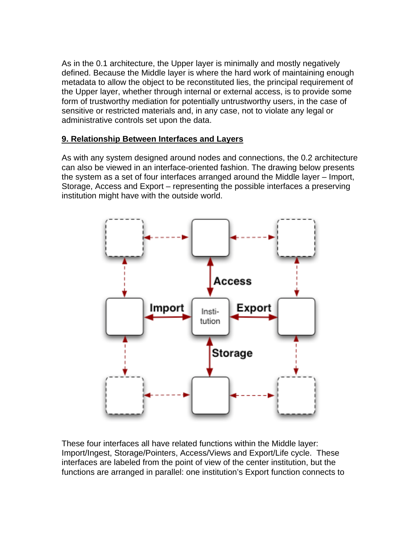As in the 0.1 architecture, the Upper layer is minimally and mostly negatively defined. Because the Middle layer is where the hard work of maintaining enough metadata to allow the object to be reconstituted lies, the principal requirement of the Upper layer, whether through internal or external access, is to provide some form of trustworthy mediation for potentially untrustworthy users, in the case of sensitive or restricted materials and, in any case, not to violate any legal or administrative controls set upon the data.

## **9. Relationship Between Interfaces and Layers**

As with any system designed around nodes and connections, the 0.2 architecture can also be viewed in an interface-oriented fashion. The drawing below presents the system as a set of four interfaces arranged around the Middle layer – Import, Storage, Access and Export – representing the possible interfaces a preserving institution might have with the outside world.



These four interfaces all have related functions within the Middle layer: Import/Ingest, Storage/Pointers, Access/Views and Export/Life cycle. These interfaces are labeled from the point of view of the center institution, but the functions are arranged in parallel: one institution's Export function connects to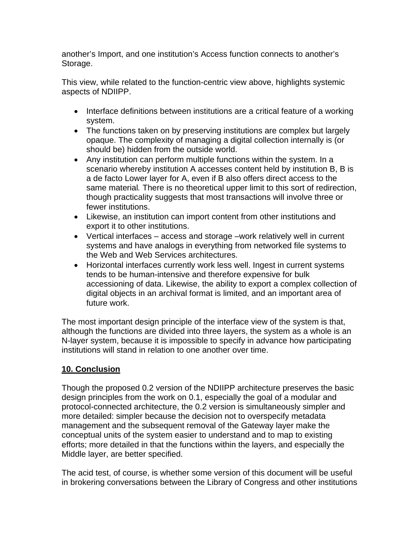another's Import, and one institution's Access function connects to another's Storage.

This view, while related to the function-centric view above, highlights systemic aspects of NDIIPP.

- Interface definitions between institutions are a critical feature of a working system.
- The functions taken on by preserving institutions are complex but largely opaque. The complexity of managing a digital collection internally is (or should be) hidden from the outside world.
- Any institution can perform multiple functions within the system. In a scenario whereby institution A accesses content held by institution B, B is a de facto Lower layer for A, even if B also offers direct access to the same material*.* There is no theoretical upper limit to this sort of redirection, though practicality suggests that most transactions will involve three or fewer institutions.
- Likewise, an institution can import content from other institutions and export it to other institutions.
- Vertical interfaces access and storage –work relatively well in current systems and have analogs in everything from networked file systems to the Web and Web Services architectures.
- Horizontal interfaces currently work less well. Ingest in current systems tends to be human-intensive and therefore expensive for bulk accessioning of data. Likewise, the ability to export a complex collection of digital objects in an archival format is limited, and an important area of future work.

The most important design principle of the interface view of the system is that, although the functions are divided into three layers, the system as a whole is an N-layer system, because it is impossible to specify in advance how participating institutions will stand in relation to one another over time.

# **10. Conclusion**

Though the proposed 0.2 version of the NDIIPP architecture preserves the basic design principles from the work on 0.1, especially the goal of a modular and protocol-connected architecture, the 0.2 version is simultaneously simpler and more detailed: simpler because the decision not to overspecify metadata management and the subsequent removal of the Gateway layer make the conceptual units of the system easier to understand and to map to existing efforts; more detailed in that the functions within the layers, and especially the Middle layer, are better specified.

The acid test, of course, is whether some version of this document will be useful in brokering conversations between the Library of Congress and other institutions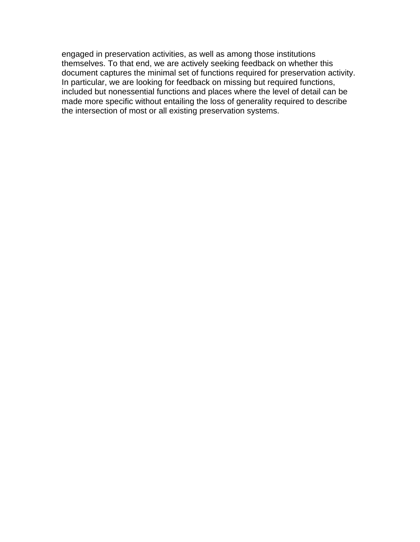engaged in preservation activities, as well as among those institutions themselves. To that end, we are actively seeking feedback on whether this document captures the minimal set of functions required for preservation activity. In particular, we are looking for feedback on missing but required functions, included but nonessential functions and places where the level of detail can be made more specific without entailing the loss of generality required to describe the intersection of most or all existing preservation systems.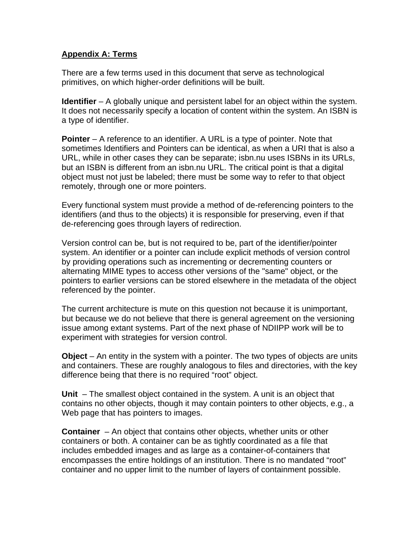## **Appendix A: Terms**

There are a few terms used in this document that serve as technological primitives, on which higher-order definitions will be built.

**Identifier** – A globally unique and persistent label for an object within the system. It does not necessarily specify a location of content within the system. An ISBN is a type of identifier.

**Pointer** – A reference to an identifier. A URL is a type of pointer. Note that sometimes Identifiers and Pointers can be identical, as when a URI that is also a URL, while in other cases they can be separate; isbn.nu uses ISBNs in its URLs, but an ISBN is different from an isbn.nu URL. The critical point is that a digital object must not just be labeled; there must be some way to refer to that object remotely, through one or more pointers.

Every functional system must provide a method of de-referencing pointers to the identifiers (and thus to the objects) it is responsible for preserving, even if that de-referencing goes through layers of redirection.

Version control can be, but is not required to be, part of the identifier/pointer system. An identifier or a pointer can include explicit methods of version control by providing operations such as incrementing or decrementing counters or alternating MIME types to access other versions of the "same" object, or the pointers to earlier versions can be stored elsewhere in the metadata of the object referenced by the pointer.

The current architecture is mute on this question not because it is unimportant, but because we do not believe that there is general agreement on the versioning issue among extant systems. Part of the next phase of NDIIPP work will be to experiment with strategies for version control.

**Object** – An entity in the system with a pointer. The two types of objects are units and containers. These are roughly analogous to files and directories, with the key difference being that there is no required "root" object.

**Unit** – The smallest object contained in the system. A unit is an object that contains no other objects, though it may contain pointers to other objects, e.g., a Web page that has pointers to images.

**Container** – An object that contains other objects, whether units or other containers or both. A container can be as tightly coordinated as a file that includes embedded images and as large as a container-of-containers that encompasses the entire holdings of an institution. There is no mandated "root" container and no upper limit to the number of layers of containment possible.